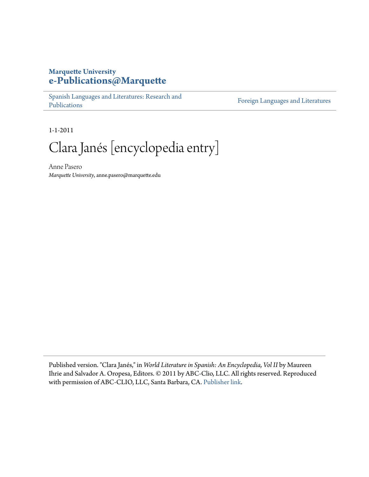## **Marquette University [e-Publications@Marquette](http://epublications.marquette.edu)**

[Spanish Languages and Literatures: Research and](http://epublications.marquette.edu/span_fac) [Publications](http://epublications.marquette.edu/span_fac)

[Foreign Languages and Literatures](http://epublications.marquette.edu/fola)

1-1-2011

Clara Janés [encyclopedia entry]

Anne Pasero *Marquette University*, anne.pasero@marquette.edu

Published version. "Clara Janés," in *World Literature in Spanish: An Encyclopedia, Vol II* by Maureen Ihrie and Salvador A. Oropesa, Editors. © 2011 by ABC-Clio, LLC. All rights reserved. Reproduced with permission of ABC-CLIO, LLC, Santa Barbara, CA. [Publisher link.](http://www.abc-clio.com/ABC-CLIOGreenwood/product.aspx?pc=B7062C)